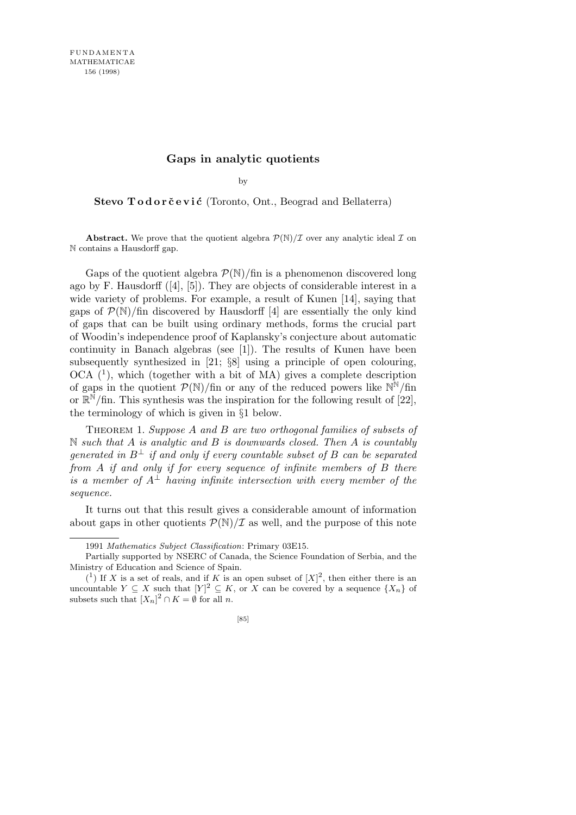## **Gaps in analytic quotients**

by

Stevo Todorčević (Toronto, Ont., Beograd and Bellaterra)

**Abstract.** We prove that the quotient algebra  $P(\mathbb{N})/I$  over any analytic ideal  $I$  on N contains a Hausdorff gap.

Gaps of the quotient algebra  $\mathcal{P}(\mathbb{N})$ /fin is a phenomenon discovered long ago by F. Hausdorff ([4], [5]). They are objects of considerable interest in a wide variety of problems. For example, a result of Kunen [14], saying that gaps of  $\mathcal{P}(\mathbb{N})$ /fin discovered by Hausdorff [4] are essentially the only kind of gaps that can be built using ordinary methods, forms the crucial part of Woodin's independence proof of Kaplansky's conjecture about automatic continuity in Banach algebras (see [1]). The results of Kunen have been subsequently synthesized in [21; *§*8] using a principle of open colouring,  $OCA$   $(1)$ , which (together with a bit of MA) gives a complete description of gaps in the quotient  $\mathcal{P}(\mathbb{N})$ /fin or any of the reduced powers like  $\mathbb{N}^{\mathbb{N}}$ /fin or  $\mathbb{R}^{\mathbb{N}}$ /fin. This synthesis was the inspiration for the following result of [22], the terminology of which is given in *§*1 below.

Theorem 1. *Suppose A and B are two orthogonal families of subsets of* N *such that A is analytic and B is downwards closed. Then A is countably generated in*  $B^{\perp}$  *if and only if every countable subset of B can be separated from A if and only if for every sequence of infinite members of B there is a member of*  $A^\perp$  *having infinite intersection with every member of the sequence.*

It turns out that this result gives a considerable amount of information about gaps in other quotients  $\mathcal{P}(\mathbb{N})/\mathcal{I}$  as well, and the purpose of this note

<sup>1991</sup> *Mathematics Subject Classification*: Primary 03E15.

Partially supported by NSERC of Canada, the Science Foundation of Serbia, and the Ministry of Education and Science of Spain.

 $(1)$  If *X* is a set of reals, and if *K* is an open subset of  $[X]^2$ , then either there is an uncountable  $Y \subseteq X$  such that  $|Y|^2 \subseteq K$ , or  $X$  can be covered by a sequence  $\{X_n\}$  of subsets such that  $[X_n]^2 \cap K = \emptyset$  for all *n*.

<sup>[85]</sup>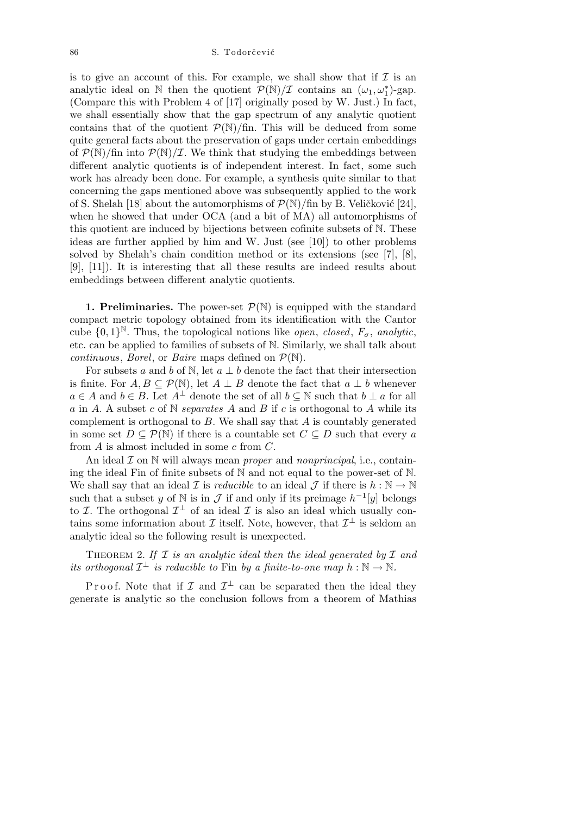is to give an account of this. For example, we shall show that if  $\mathcal I$  is an analytic ideal on  $\mathbb N$  then the quotient  $\mathcal P(\mathbb N)/\mathcal I$  contains an  $(\omega_1, \omega_1^*)$ -gap. (Compare this with Problem 4 of [17] originally posed by W. Just.) In fact, we shall essentially show that the gap spectrum of any analytic quotient contains that of the quotient  $P(N)/\text{fin}$ . This will be deduced from some quite general facts about the preservation of gaps under certain embeddings of  $\mathcal{P}(\mathbb{N})$ /fin into  $\mathcal{P}(\mathbb{N})/\mathcal{I}$ . We think that studying the embeddings between different analytic quotients is of independent interest. In fact, some such work has already been done. For example, a synthesis quite similar to that concerning the gaps mentioned above was subsequently applied to the work of S. Shelah [18] about the automorphisms of  $\mathcal{P}(\mathbb{N})$ /fin by B. Veličković [24], when he showed that under OCA (and a bit of MA) all automorphisms of this quotient are induced by bijections between cofinite subsets of N. These ideas are further applied by him and W. Just (see [10]) to other problems solved by Shelah's chain condition method or its extensions (see [7], [8], [9], [11]). It is interesting that all these results are indeed results about embeddings between different analytic quotients.

**1. Preliminaries.** The power-set  $\mathcal{P}(\mathbb{N})$  is equipped with the standard compact metric topology obtained from its identification with the Cantor cube  $\{0,1\}^{\mathbb{N}}$ . Thus, the topological notions like *open*, *closed*,  $F_{\sigma}$ , *analytic*, etc. can be applied to families of subsets of N. Similarly, we shall talk about *continuous, Borel, or Baire* maps defined on  $\mathcal{P}(\mathbb{N})$ .

For subsets *a* and *b* of N, let  $a \perp b$  denote the fact that their intersection is finite. For  $A, B \subseteq \mathcal{P}(\mathbb{N})$ , let  $A \perp B$  denote the fact that  $a \perp b$  whenever *a* ∈ *A* and *b* ∈ *B*. Let  $A^{\perp}$  denote the set of all *b* ⊂ N such that *b* ⊥ *a* for all *a* in *A*. A subset *c* of N *separates A* and *B* if *c* is orthogonal to *A* while its complement is orthogonal to *B*. We shall say that *A* is countably generated in some set  $D \subseteq \mathcal{P}(\mathbb{N})$  if there is a countable set  $C \subseteq D$  such that every *a* from *A* is almost included in some *c* from *C*.

An ideal *I* on N will always mean *proper* and *nonprincipal*, i.e., containing the ideal Fin of finite subsets of  $\mathbb N$  and not equal to the power-set of  $\mathbb N$ . We shall say that an ideal *I* is *reducible* to an ideal *J* if there is  $h : \mathbb{N} \to \mathbb{N}$ such that a subset *y* of  $\mathbb N$  is in  $\mathcal J$  if and only if its preimage  $h^{-1}[y]$  belongs to *I*. The orthogonal  $\mathcal{I}^{\perp}$  of an ideal *I* is also an ideal which usually contains some information about  $\mathcal I$  itself. Note, however, that  $\mathcal I^{\perp}$  is seldom an analytic ideal so the following result is unexpected.

Theorem 2. *If I is an analytic ideal then the ideal generated by I and its orthogonal*  $\mathcal{I}^{\perp}$  *is reducible to* Fin *by a finite-to-one map*  $h : \mathbb{N} \to \mathbb{N}$ *.* 

P r o o f. Note that if  $\mathcal I$  and  $\mathcal I^{\perp}$  can be separated then the ideal they generate is analytic so the conclusion follows from a theorem of Mathias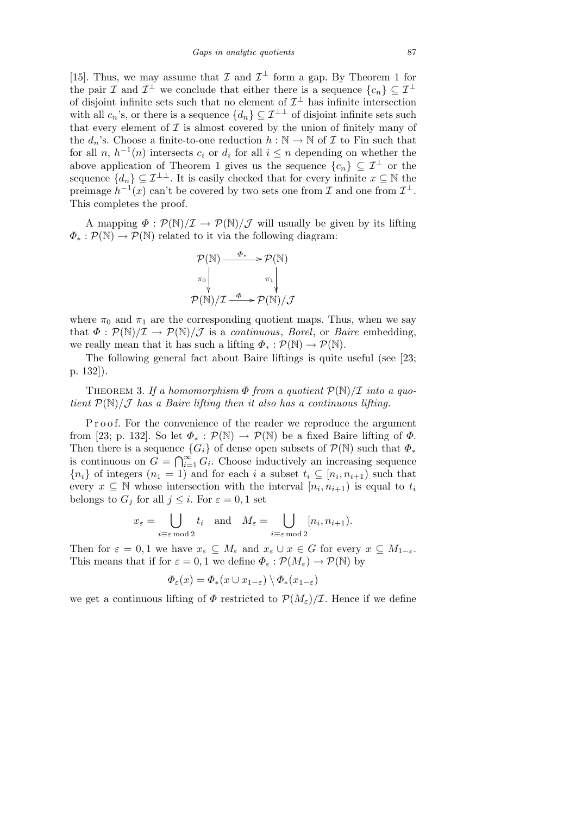[15]. Thus, we may assume that  $\mathcal I$  and  $\mathcal I^{\perp}$  form a gap. By Theorem 1 for the pair *I* and  $\mathcal{I}^{\perp}$  we conclude that either there is a sequence  $\{c_n\} \subseteq \mathcal{I}^{\perp}$ of disjoint infinite sets such that no element of  $\mathcal{I}^{\perp}$  has infinite intersection with all  $c_n$ 's, or there is a sequence  $\{d_n\} \subseteq \mathcal{I}^{\perp\perp}$  of disjoint infinite sets such that every element of  $\mathcal I$  is almost covered by the union of finitely many of the  $d_n$ 's. Choose a finite-to-one reduction  $h : \mathbb{N} \to \mathbb{N}$  of  $\mathcal I$  to Fin such that for all *n*,  $h^{-1}(n)$  intersects  $c_i$  or  $d_i$  for all  $i \leq n$  depending on whether the above application of Theorem 1 gives us the sequence  $\{c_n\} \subseteq \mathcal{I}^{\perp}$  or the sequence  ${d_n} \subseteq \mathcal{I}^{\perp\perp}$ . It is easily checked that for every infinite  $x \subseteq \mathbb{N}$  the preimage  $h^{-1}(x)$  can't be covered by two sets one from *I* and one from  $\mathcal{I}^{\perp}$ . This completes the proof.

A mapping  $\Phi : \mathcal{P}(\mathbb{N})/\mathcal{I} \to \mathcal{P}(\mathbb{N})/\mathcal{J}$  will usually be given by its lifting  $\Phi_* : \mathcal{P}(\mathbb{N}) \to \mathcal{P}(\mathbb{N})$  related to it via the following diagram:

$$
\mathcal{P}(\mathbb{N}) \xrightarrow{\Phi_*} \mathcal{P}(\mathbb{N})
$$
\n
$$
\pi_0 \downarrow \qquad \pi_1 \downarrow \qquad \pi_2 \downarrow
$$
\n
$$
\mathcal{P}(\mathbb{N})/\mathcal{I} \xrightarrow{\Phi} \mathcal{P}(\mathbb{N})/\mathcal{J}
$$

where  $\pi_0$  and  $\pi_1$  are the corresponding quotient maps. Thus, when we say that  $\Phi : \mathcal{P}(\mathbb{N})/\mathcal{I} \to \mathcal{P}(\mathbb{N})/\mathcal{J}$  is a *continuous*, *Borel*, or *Baire* embedding, we really mean that it has such a lifting  $\Phi_* : \mathcal{P}(\mathbb{N}) \to \mathcal{P}(\mathbb{N})$ .

The following general fact about Baire liftings is quite useful (see [23; p. 132]).

THEOREM 3. If a homomorphism  $\Phi$  from a quotient  $\mathcal{P}(\mathbb{N})/\mathcal{I}$  into a quo*tient*  $P(\mathbb{N})/\mathcal{J}$  *has a Baire lifting then it also has a continuous lifting.* 

P r o o f. For the convenience of the reader we reproduce the argument from [23; p. 132]. So let  $\Phi_* : \mathcal{P}(\mathbb{N}) \to \mathcal{P}(\mathbb{N})$  be a fixed Baire lifting of  $\Phi$ . Then there is a sequence  ${G_i}$  of dense open subsets of  $P(\mathbb{N})$  such that  $\Phi_*$ is continuous on  $G = \bigcap_{i=1}^{\infty} G_i$  $\sum_{i=1}^{\infty} G_i$ . Choose inductively an increasing sequence  ${n_i}$  of integers  $(n_1 = 1)$  and for each *i* a subset  $t_i \subseteq [n_i, n_{i+1})$  such that every  $x \subseteq \mathbb{N}$  whose intersection with the interval  $[n_i, n_{i+1}]$  is equal to  $t_i$ belongs to  $G_j$  for all  $j \leq i$ . For  $\varepsilon = 0, 1$  set

$$
x_{\varepsilon} = \bigcup_{i \equiv \varepsilon \bmod 2} t_i \quad \text{and} \quad M_{\varepsilon} = \bigcup_{i \equiv \varepsilon \bmod 2} [n_i, n_{i+1}).
$$

Then for  $\varepsilon = 0, 1$  we have  $x_{\varepsilon} \subseteq M_{\varepsilon}$  and  $x_{\varepsilon} \cup x \in G$  for every  $x \subseteq M_{1-\varepsilon}$ . This means that if for  $\varepsilon = 0, 1$  we define  $\Phi_{\varepsilon} : \mathcal{P}(M_{\varepsilon}) \to \mathcal{P}(\mathbb{N})$  by

$$
\Phi_{\varepsilon}(x) = \Phi_*(x \cup x_{1-\varepsilon}) \setminus \Phi_*(x_{1-\varepsilon})
$$

we get a continuous lifting of  $\Phi$  restricted to  $\mathcal{P}(M_{\varepsilon})/\mathcal{I}$ . Hence if we define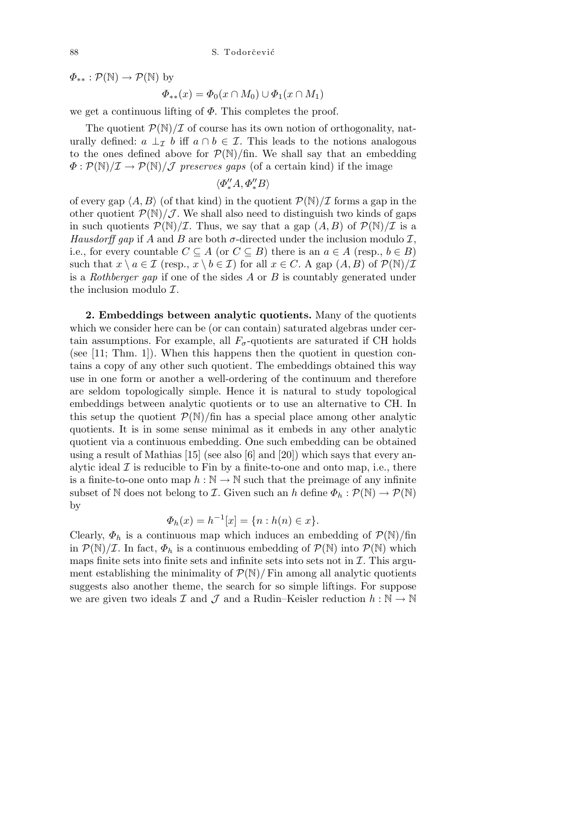$\Phi_{**}: \mathcal{P}(\mathbb{N}) \to \mathcal{P}(\mathbb{N})$  by

$$
\Phi_{**}(x) = \Phi_0(x \cap M_0) \cup \Phi_1(x \cap M_1)
$$

we get a continuous lifting of *Φ*. This completes the proof.

The quotient  $\mathcal{P}(\mathbb{N})/\mathcal{I}$  of course has its own notion of orthogonality, naturally defined:  $a \perp_{\mathcal{I}} b$  iff  $a \cap b \in \mathcal{I}$ . This leads to the notions analogous to the ones defined above for  $P(\mathbb{N})$ /fin. We shall say that an embedding  $\Phi$ :  $\mathcal{P}(\mathbb{N})/\mathcal{I} \rightarrow \mathcal{P}(\mathbb{N})/\mathcal{J}$  *preserves gaps* (of a certain kind) if the image

$$
\langle \varPhi_{*}'' A, \varPhi_{*}'' B \rangle
$$

of every gap  $\langle A, B \rangle$  (of that kind) in the quotient  $\mathcal{P}(\mathbb{N})/\mathcal{I}$  forms a gap in the other quotient  $\mathcal{P}(\mathbb{N})/\mathcal{J}$ . We shall also need to distinguish two kinds of gaps in such quotients  $\mathcal{P}(\mathbb{N})/\mathcal{I}$ . Thus, we say that a gap  $(A, B)$  of  $\mathcal{P}(\mathbb{N})/\mathcal{I}$  is a *Hausdorff gap* if *A* and *B* are both  $\sigma$ -directed under the inclusion modulo *I*, i.e., for every countable  $C \subseteq A$  (or  $C \subseteq B$ ) there is an  $a \in A$  (resp.,  $b \in B$ ) such that  $x \setminus a \in \mathcal{I}$  (resp.,  $x \setminus b \in \mathcal{I}$ ) for all  $x \in C$ . A gap  $(A, B)$  of  $\mathcal{P}(\mathbb{N})/\mathcal{I}$ is a *Rothberger gap* if one of the sides *A* or *B* is countably generated under the inclusion modulo *I*.

**2. Embeddings between analytic quotients.** Many of the quotients which we consider here can be (or can contain) saturated algebras under certain assumptions. For example, all  $F_{\sigma}$ -quotients are saturated if CH holds (see [11; Thm. 1]). When this happens then the quotient in question contains a copy of any other such quotient. The embeddings obtained this way use in one form or another a well-ordering of the continuum and therefore are seldom topologically simple. Hence it is natural to study topological embeddings between analytic quotients or to use an alternative to CH. In this setup the quotient  $P(N)/\text{fin}$  has a special place among other analytic quotients. It is in some sense minimal as it embeds in any other analytic quotient via a continuous embedding. One such embedding can be obtained using a result of Mathias [15] (see also [6] and [20]) which says that every analytic ideal  $\mathcal I$  is reducible to Fin by a finite-to-one and onto map, i.e., there is a finite-to-one onto map  $h : \mathbb{N} \to \mathbb{N}$  such that the preimage of any infinite subset of N does not belong to *I*. Given such an *h* define  $\Phi_h : \mathcal{P}(\mathbb{N}) \to \mathcal{P}(\mathbb{N})$ by

$$
\Phi_h(x) = h^{-1}[x] = \{n : h(n) \in x\}.
$$

Clearly,  $\Phi_h$  is a continuous map which induces an embedding of  $\mathcal{P}(\mathbb{N})$ /fin in  $P(\mathbb{N})/\mathcal{I}$ . In fact,  $\Phi_h$  is a continuous embedding of  $P(\mathbb{N})$  into  $P(\mathbb{N})$  which maps finite sets into finite sets and infinite sets into sets not in  $I$ . This argument establishing the minimality of  $\mathcal{P}(\mathbb{N})/$  Fin among all analytic quotients suggests also another theme, the search for so simple liftings. For suppose we are given two ideals  $\mathcal I$  and  $\mathcal J$  and a Rudin–Keisler reduction  $h : \mathbb N \to \mathbb N$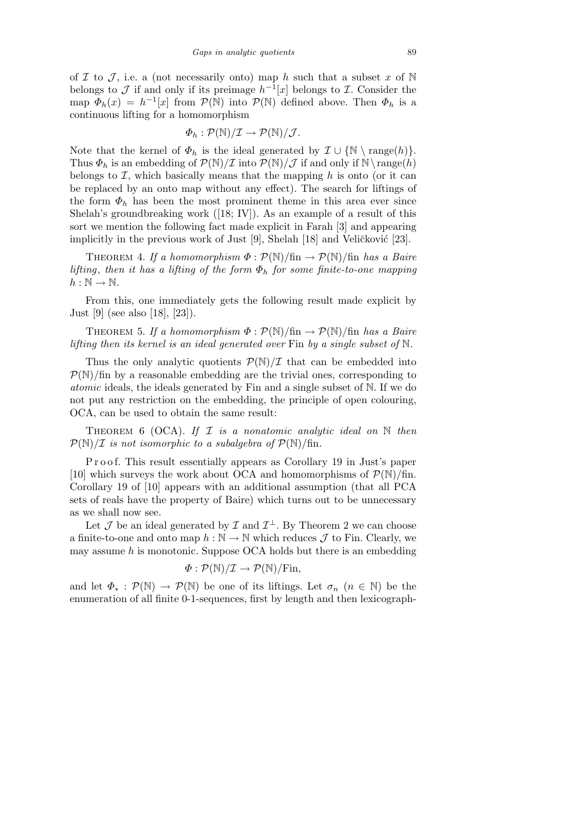of *I* to *J*, i.e. a (not necessarily onto) map *h* such that a subset *x* of N belongs to *J* if and only if its preimage  $h^{-1}[x]$  belongs to *I*. Consider the map  $\Phi_h(x) = h^{-1}[x]$  from  $\mathcal{P}(\mathbb{N})$  into  $\mathcal{P}(\mathbb{N})$  defined above. Then  $\Phi_h$  is a continuous lifting for a homomorphism

$$
\Phi_h: \mathcal{P}(\mathbb{N})/\mathcal{I} \to \mathcal{P}(\mathbb{N})/\mathcal{J}.
$$

Note that the kernel of  $\Phi_h$  is the ideal generated by  $\mathcal{I} \cup \{ \mathbb{N} \setminus \text{range}(h) \}.$ Thus  $\Phi_h$  is an embedding of  $\mathcal{P}(\mathbb{N})/\mathcal{I}$  into  $\mathcal{P}(\mathbb{N})/\mathcal{J}$  if and only if  $\mathbb{N}\setminus\text{range}(h)$ belongs to  $I$ , which basically means that the mapping  $h$  is onto (or it can be replaced by an onto map without any effect). The search for liftings of the form  $\Phi_h$  has been the most prominent theme in this area ever since Shelah's groundbreaking work  $([18; IV])$ . As an example of a result of this sort we mention the following fact made explicit in Farah [3] and appearing implicitly in the previous work of Just  $[9]$ , Shelah  $[18]$  and Veličković  $[23]$ .

THEOREM 4. If a homomorphism  $\Phi : \mathcal{P}(\mathbb{N})/\text{fin} \to \mathcal{P}(\mathbb{N})/\text{fin}$  has a Baire *lifting*, *then it has a lifting of the form Φ<sup>h</sup> for some finite-to-one mapping*  $h : \mathbb{N} \to \mathbb{N}$ .

From this, one immediately gets the following result made explicit by Just [9] (see also [18], [23]).

THEOREM 5. If a homomorphism  $\Phi : \mathcal{P}(\mathbb{N})/\text{fin} \to \mathcal{P}(\mathbb{N})/\text{fin}$  has a Baire *lifting then its kernel is an ideal generated over* Fin *by a single subset of* N*.*

Thus the only analytic quotients  $P(N)/\mathcal{I}$  that can be embedded into  $P(N)/\text{fin}$  by a reasonable embedding are the trivial ones, corresponding to *atomic* ideals, the ideals generated by Fin and a single subset of N. If we do not put any restriction on the embedding, the principle of open colouring, OCA, can be used to obtain the same result:

Theorem 6 (OCA). *If I is a nonatomic analytic ideal on* N *then*  $P(N)/\mathcal{I}$  *is not isomorphic to a subalgebra of*  $P(N)/\text{fin}$ *.* 

P r o o f. This result essentially appears as Corollary 19 in Just's paper [10] which surveys the work about OCA and homomorphisms of  $\mathcal{P}(\mathbb{N})/\text{fin}$ . Corollary 19 of [10] appears with an additional assumption (that all PCA sets of reals have the property of Baire) which turns out to be unnecessary as we shall now see.

Let  $\mathcal J$  be an ideal generated by  $\mathcal I$  and  $\mathcal I^{\perp}$ . By Theorem 2 we can choose a finite-to-one and onto map  $h : \mathbb{N} \to \mathbb{N}$  which reduces  $\mathcal J$  to Fin. Clearly, we may assume *h* is monotonic. Suppose OCA holds but there is an embedding

$$
\Phi: \mathcal{P}(\mathbb{N})/\mathcal{I} \to \mathcal{P}(\mathbb{N})/\mathrm{Fin},
$$

and let  $\Phi_* : \mathcal{P}(\mathbb{N}) \to \mathcal{P}(\mathbb{N})$  be one of its liftings. Let  $\sigma_n$   $(n \in \mathbb{N})$  be the enumeration of all finite 0-1-sequences, first by length and then lexicograph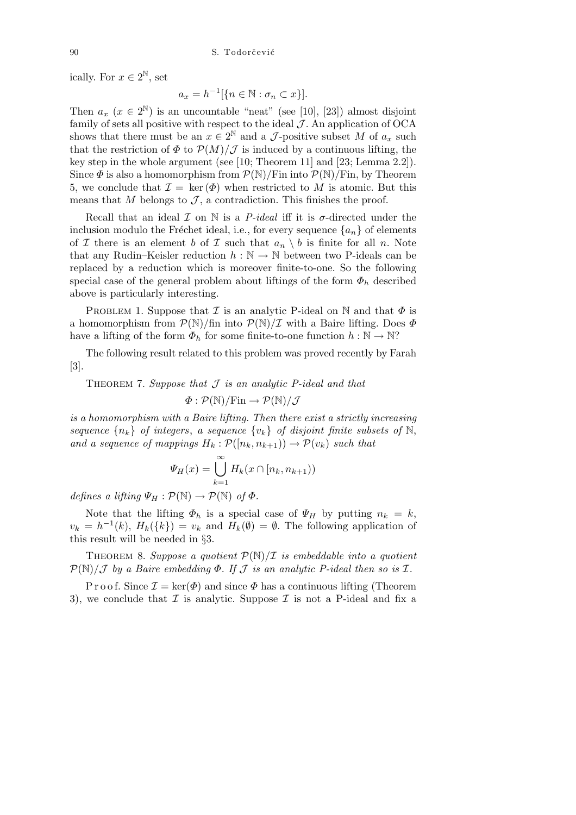ically. For  $x \in 2^{\mathbb{N}}$ , set

$$
a_x = h^{-1} [\{ n \in \mathbb{N} : \sigma_n \subset x \}].
$$

Then  $a_x$  ( $x \in 2^{\mathbb{N}}$ ) is an uncountable "neat" (see [10], [23]) almost disjoint family of sets all positive with respect to the ideal  $J$ . An application of OCA shows that there must be an  $x \in 2^{\mathbb{N}}$  and a *J*-positive subset *M* of  $a_x$  such that the restriction of  $\Phi$  to  $\mathcal{P}(M)/\mathcal{J}$  is induced by a continuous lifting, the key step in the whole argument (see [10; Theorem 11] and [23; Lemma 2.2]). Since  $\Phi$  is also a homomorphism from  $\mathcal{P}(\mathbb{N})/$ Fin into  $\mathcal{P}(\mathbb{N})/$ Fin, by Theorem 5, we conclude that  $\mathcal{I} = \ker(\Phi)$  when restricted to M is atomic. But this means that *M* belongs to  $\mathcal{J}$ , a contradiction. This finishes the proof.

Recall that an ideal  $\mathcal I$  on  $\mathbb N$  is a *P-ideal* iff it is  $\sigma$ -directed under the inclusion modulo the Fréchet ideal, i.e., for every sequence  ${a_n}$  of elements of *I* there is an element *b* of *I* such that  $a_n \setminus b$  is finite for all *n*. Note that any Rudin–Keisler reduction  $h : \mathbb{N} \to \mathbb{N}$  between two P-ideals can be replaced by a reduction which is moreover finite-to-one. So the following special case of the general problem about liftings of the form  $\Phi_h$  described above is particularly interesting.

PROBLEM 1. Suppose that  $\mathcal I$  is an analytic P-ideal on  $\mathbb N$  and that  $\Phi$  is a homomorphism from  $P(\mathbb{N})$ /fin into  $P(\mathbb{N})/I$  with a Baire lifting. Does  $\Phi$ have a lifting of the form  $\Phi_h$  for some finite-to-one function  $h : \mathbb{N} \to \mathbb{N}$ ?

The following result related to this problem was proved recently by Farah [3].

Theorem 7. *Suppose that J is an analytic P-ideal and that*

$$
\varPhi: \mathcal{P}(\mathbb{N})/\mathrm{Fin} \to \mathcal{P}(\mathbb{N})/\mathcal{J}
$$

*is a homomorphism with a Baire lifting. Then there exist a strictly increasing sequence*  $\{n_k\}$  *of integers, a sequence*  $\{v_k\}$  *of disjoint finite subsets of* N, *and a sequence of mappings*  $H_k : \mathcal{P}([n_k, n_{k+1})) \to \mathcal{P}(v_k)$  *such that* 

$$
\Psi_H(x) = \bigcup_{k=1}^{\infty} H_k(x \cap [n_k, n_{k+1}))
$$

*defines a lifting*  $\Psi_H : \mathcal{P}(\mathbb{N}) \to \mathcal{P}(\mathbb{N})$  *of*  $\Phi$ *.* 

Note that the lifting  $\Phi_h$  is a special case of  $\Psi_H$  by putting  $n_k = k$ ,  $v_k = h^{-1}(k)$ ,  $H_k({k}) = v_k$  and  $H_k(\emptyset) = \emptyset$ . The following application of this result will be needed in *§*3.

THEOREM 8. Suppose a quotient  $\mathcal{P}(\mathbb{N})/\mathcal{I}$  is embeddable into a quotient *P*(N)*/J by a Baire embedding Φ. If J is an analytic P-ideal then so is I.*

P r o o f. Since  $\mathcal{I} = \text{ker}(\Phi)$  and since  $\Phi$  has a continuous lifting (Theorem 3), we conclude that  $\mathcal I$  is analytic. Suppose  $\mathcal I$  is not a P-ideal and fix a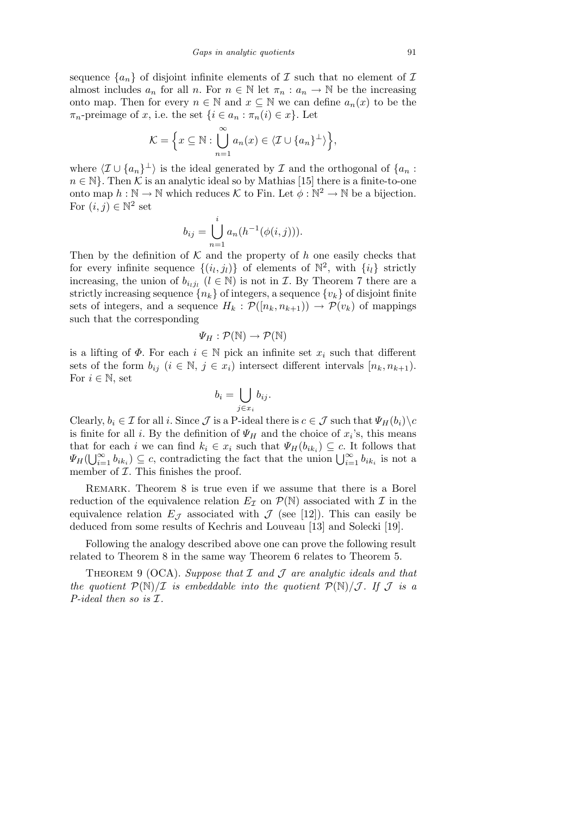sequence  $\{a_n\}$  of disjoint infinite elements of  $\mathcal I$  such that no element of  $\mathcal I$ almost includes  $a_n$  for all *n*. For  $n \in \mathbb{N}$  let  $\pi_n : a_n \to \mathbb{N}$  be the increasing onto map. Then for every  $n \in \mathbb{N}$  and  $x \subseteq \mathbb{N}$  we can define  $a_n(x)$  to be the  $\pi_n$ -preimage of *x*, i.e. the set  $\{i \in a_n : \pi_n(i) \in x\}$ . Let

$$
\mathcal{K} = \left\{ x \subseteq \mathbb{N} : \bigcup_{n=1}^{\infty} a_n(x) \in \langle \mathcal{I} \cup \{a_n\}^{\perp} \rangle \right\},\
$$

where  $\langle I \cup \{a_n\}^\perp \rangle$  is the ideal generated by *I* and the orthogonal of  $\{a_n :$  $n \in \mathbb{N}$ . Then *K* is an analytic ideal so by Mathias [15] there is a finite-to-one onto map  $h : \mathbb{N} \to \mathbb{N}$  which reduces  $\mathcal{K}$  to Fin. Let  $\phi : \mathbb{N}^2 \to \mathbb{N}$  be a bijection. For  $(i, j) \in \mathbb{N}^2$  set

$$
b_{ij} = \bigcup_{n=1}^{i} a_n(h^{-1}(\phi(i,j))).
$$

Then by the definition of  $K$  and the property of  $h$  one easily checks that for every infinite sequence  $\{(i_l, j_l)\}$  of elements of  $\mathbb{N}^2$ , with  $\{i_l\}$  strictly increasing, the union of  $b_{i_lj_l}$  ( $l \in \mathbb{N}$ ) is not in *I*. By Theorem 7 there are a strictly increasing sequence  ${n_k}$  of integers, a sequence  ${v_k}$  of disjoint finite sets of integers, and a sequence  $H_k : \mathcal{P}([n_k, n_{k+1})) \to \mathcal{P}(v_k)$  of mappings such that the corresponding

$$
\varPsi_H:\mathcal{P}(\mathbb{N})\to\mathcal{P}(\mathbb{N})
$$

is a lifting of  $\Phi$ . For each  $i \in \mathbb{N}$  pick an infinite set  $x_i$  such that different sets of the form  $b_{ij}$  ( $i \in \mathbb{N}, j \in x_i$ ) intersect different intervals  $[n_k, n_{k+1})$ . For  $i \in \mathbb{N}$ , set  $\mathbf{r}$ 

$$
b_i = \bigcup_{j \in x_i} b_{ij}.
$$

Clearly,  $b_i \in \mathcal{I}$  for all *i*. Since  $\mathcal{J}$  is a P-ideal there is  $c \in \mathcal{J}$  such that  $\Psi_H(b_i) \backslash c$ is finite for all *i*. By the definition of  $\Psi_H$  and the choice of  $x_i$ 's, this means that for each *i* we can find  $k_i \in x_i$  such that  $\Psi_H(b_{ik_i}) \subseteq c$ . It follows that  $\Psi_H(b_{ik_i}) \subseteq c$ . It follows that *i W<sub>H</sub>*( $\bigcup_{i=1}^{\infty}$  *b*<sub>*ik<sub>i</sub>*</sub>)  $\subseteq$  *c*, contradicting the fact that the union  $\bigcup_{i=1}^{\infty}$  *b*<sub>*ik<sub>i</sub>*</sub> is not a member of *I*. This finishes the proof.

REMARK. Theorem 8 is true even if we assume that there is a Borel reduction of the equivalence relation  $E_{\mathcal{I}}$  on  $\mathcal{P}(\mathbb{N})$  associated with  $\mathcal{I}$  in the equivalence relation  $E_{\mathcal{J}}$  associated with  $\mathcal{J}$  (see [12]). This can easily be deduced from some results of Kechris and Louveau [13] and Solecki [19].

Following the analogy described above one can prove the following result related to Theorem 8 in the same way Theorem 6 relates to Theorem 5.

Theorem 9 (OCA). *Suppose that I and J are analytic ideals and that the quotient*  $P(\mathbb{N})/\mathcal{I}$  *is embeddable into the quotient*  $P(\mathbb{N})/\mathcal{I}$ . If  $\mathcal{I}$  *is a P-ideal then so is I.*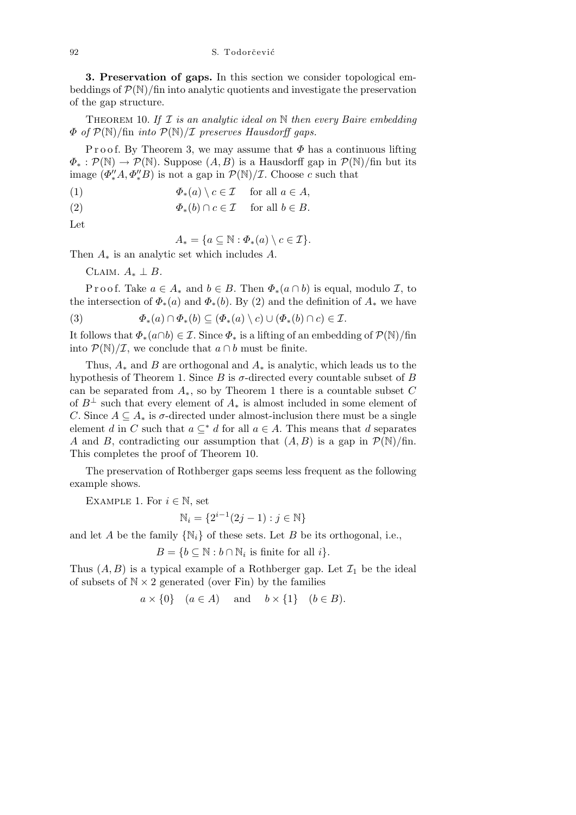**3. Preservation of gaps.** In this section we consider topological embeddings of  $P(\mathbb{N})$ /fin into analytic quotients and investigate the preservation of the gap structure.

Theorem 10. *If I is an analytic ideal on* N *then every Baire embedding Φ of P*(N)*/*fin *into P*(N)*/I preserves Hausdorff gaps.*

P r o o f. By Theorem 3, we may assume that *Φ* has a continuous lifting  $\Phi_* : \mathcal{P}(\mathbb{N}) \to \mathcal{P}(\mathbb{N})$ . Suppose  $(A, B)$  is a Hausdorff gap in  $\mathcal{P}(\mathbb{N})$ /fin but its image  $(\Phi''_*A, \Phi''_*B)$  is not a gap in  $\mathcal{P}(\mathbb{N})/\mathcal{I}$ . Choose *c* such that

(1) 
$$
\Phi_*(a) \setminus c \in \mathcal{I} \quad \text{ for all } a \in A,
$$

(2) 
$$
\Phi_*(b) \cap c \in \mathcal{I} \quad \text{ for all } b \in B.
$$

Let

$$
A_* = \{a \subseteq \mathbb{N} : \Phi_*(a) \setminus c \in \mathcal{I}\}.
$$

Then *A<sup>∗</sup>* is an analytic set which includes *A*.

CLAIM.  $A_* \perp B$ .

Proof. Take  $a \in A_*$  and  $b \in B$ . Then  $\Phi_*(a \cap b)$  is equal, modulo *I*, to the intersection of  $\Phi_*(a)$  and  $\Phi_*(b)$ . By (2) and the definition of  $A_*$  we have

(3) 
$$
\Phi_*(a) \cap \Phi_*(b) \subseteq (\Phi_*(a) \setminus c) \cup (\Phi_*(b) \cap c) \in \mathcal{I}.
$$

It follows that  $\Phi_*(a \cap b) \in \mathcal{I}$ . Since  $\Phi_*$  is a lifting of an embedding of  $\mathcal{P}(\mathbb{N})$ /fin into  $\mathcal{P}(\mathbb{N})/\mathcal{I}$ , we conclude that  $a \cap b$  must be finite.

Thus, *A<sup>∗</sup>* and *B* are orthogonal and *A<sup>∗</sup>* is analytic, which leads us to the hypothesis of Theorem 1. Since  $B$  is  $\sigma$ -directed every countable subset of  $B$ can be separated from *A∗*, so by Theorem 1 there is a countable subset *C* of  $B^{\perp}$  such that every element of  $A_*$  is almost included in some element of *C*. Since  $A \subseteq A_*$  is  $\sigma$ -directed under almost-inclusion there must be a single element *d* in *C* such that  $a \subseteq^* d$  for all  $a \in A$ . This means that *d* separates *A* and *B*, contradicting our assumption that  $(A, B)$  is a gap in  $\mathcal{P}(\mathbb{N})$ /fin. This completes the proof of Theorem 10.

The preservation of Rothberger gaps seems less frequent as the following example shows.

EXAMPLE 1. For  $i \in \mathbb{N}$ , set

$$
\mathbb{N}_i = \{ 2^{i-1}(2j-1) : j \in \mathbb{N} \}
$$

and let *A* be the family  $\{N_i\}$  of these sets. Let *B* be its orthogonal, i.e.,

$$
B = \{b \subseteq \mathbb{N} : b \cap \mathbb{N}_i \text{ is finite for all } i\}.
$$

Thus  $(A, B)$  is a typical example of a Rothberger gap. Let  $\mathcal{I}_1$  be the ideal of subsets of  $N \times 2$  generated (over Fin) by the families

$$
a \times \{0\}
$$
  $(a \in A)$  and  $b \times \{1\}$   $(b \in B)$ .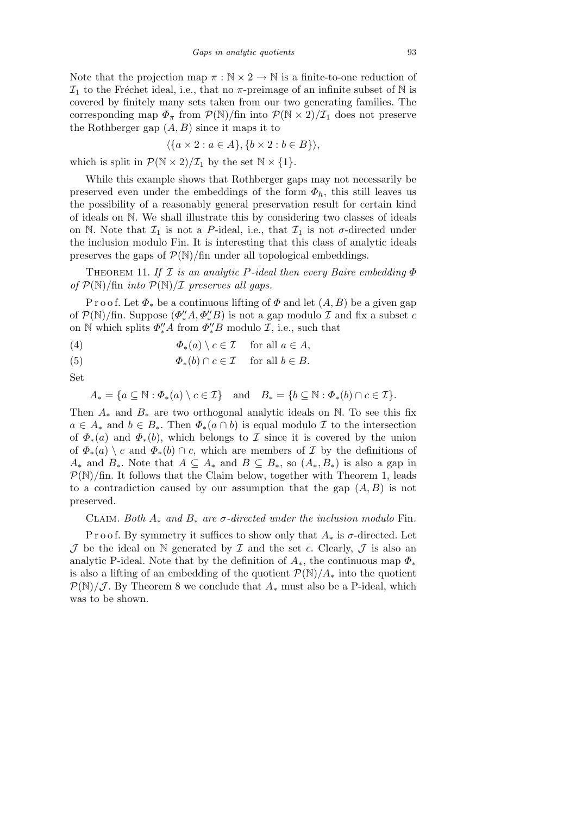Note that the projection map *π* : N *×* 2 *→* N is a finite-to-one reduction of  $\mathcal{I}_1$  to the Fréchet ideal, i.e., that no  $\pi$ -preimage of an infinite subset of N is covered by finitely many sets taken from our two generating families. The corresponding map  $\Phi_{\pi}$  from  $\mathcal{P}(\mathbb{N})$ /fin into  $\mathcal{P}(\mathbb{N} \times 2)/\mathcal{I}_1$  does not preserve the Rothberger gap (*A, B*) since it maps it to

$$
\langle \{a \times 2 : a \in A\}, \{b \times 2 : b \in B\} \rangle,
$$

which is split in  $\mathcal{P}(\mathbb{N} \times 2)/\mathcal{I}_1$  by the set  $\mathbb{N} \times \{1\}$ .

While this example shows that Rothberger gaps may not necessarily be preserved even under the embeddings of the form  $\Phi_h$ , this still leaves us the possibility of a reasonably general preservation result for certain kind of ideals on N. We shall illustrate this by considering two classes of ideals on N. Note that  $\mathcal{I}_1$  is not a P-ideal, i.e., that  $\mathcal{I}_1$  is not  $\sigma$ -directed under the inclusion modulo Fin. It is interesting that this class of analytic ideals preserves the gaps of  $\mathcal{P}(\mathbb{N})$ /fin under all topological embeddings.

Theorem 11. *If I is an analytic P-ideal then every Baire embedding Φ of*  $P(\mathbb{N})$ /fin *into*  $P(\mathbb{N})/I$  *preserves all gaps.* 

P r o o f. Let  $\Phi_*$  be a continuous lifting of  $\Phi$  and let  $(A, B)$  be a given gap of  $\mathcal{P}(\mathbb{N})$ /fin. Suppose  $(\Phi''_*A, \Phi''_*B)$  is not a gap modulo  $\mathcal I$  and fix a subset  $c$ on  $\mathbb N$  which splits  $\Phi''_*A$  from  $\Phi''_*B$  modulo  $\mathcal I$ , i.e., such that

(4) 
$$
\Phi_*(a) \setminus c \in \mathcal{I} \quad \text{ for all } a \in A,
$$

(5) 
$$
\Phi_*(b) \cap c \in \mathcal{I} \quad \text{ for all } b \in B.
$$

Set

$$
A_* = \{a \subseteq \mathbb{N} : \Phi_*(a) \setminus c \in \mathcal{I}\} \quad \text{and} \quad B_* = \{b \subseteq \mathbb{N} : \Phi_*(b) \cap c \in \mathcal{I}\}.
$$

Then *A<sup>∗</sup>* and *B<sup>∗</sup>* are two orthogonal analytic ideals on N. To see this fix  $a \in A_*$  and  $b \in B_*$ . Then  $\Phi_*(a \cap b)$  is equal modulo *I* to the intersection of  $\Phi_*(a)$  and  $\Phi_*(b)$ , which belongs to *I* since it is covered by the union of  $\Phi_*(a) \setminus c$  and  $\Phi_*(b) \cap c$ , which are members of *I* by the definitions of *A*<sup>∗</sup> and *B*<sup>\*</sup>. Note that *A* ⊆ *A*<sup>\*</sup> and *B* ⊆ *B*<sup>\*</sup>, so  $(A_*, B_*)$  is also a gap in  $P(N)/\text{fin}$ . It follows that the Claim below, together with Theorem 1, leads to a contradiction caused by our assumption that the gap (*A, B*) is not preserved.

## CLAIM. Both  $A_*$  and  $B_*$  are  $\sigma$ -directed under the inclusion modulo Fin.

P r o o f. By symmetry it suffices to show only that  $A_*$  is  $\sigma$ -directed. Let  $J$  be the ideal on  $N$  generated by  $I$  and the set  $c$ . Clearly,  $J$  is also an analytic P-ideal. Note that by the definition of  $A_*$ , the continuous map  $\Phi_*$ is also a lifting of an embedding of the quotient  $\mathcal{P}(\mathbb{N})/A_*$  into the quotient  $P(N)/J$ . By Theorem 8 we conclude that  $A_*$  must also be a P-ideal, which was to be shown.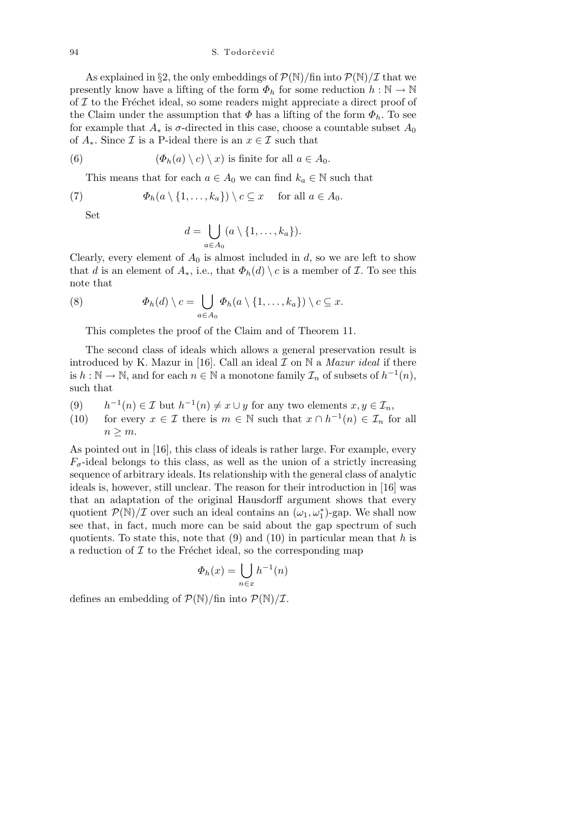94 S. Todorčević

As explained in §2, the only embeddings of  $\mathcal{P}(\mathbb{N})$ /fin into  $\mathcal{P}(\mathbb{N})/\mathcal{I}$  that we presently know have a lifting of the form  $\Phi_h$  for some reduction  $h : \mathbb{N} \to \mathbb{N}$ of  $I$  to the Fréchet ideal, so some readers might appreciate a direct proof of the Claim under the assumption that  $\Phi$  has a lifting of the form  $\Phi_h$ . To see for example that  $A_*$  is  $\sigma$ -directed in this case, choose a countable subset  $A_0$ of  $A_*$ . Since  $\mathcal I$  is a P-ideal there is an  $x \in \mathcal I$  such that

(6) 
$$
(\Phi_h(a) \setminus c) \setminus x
$$
 is finite for all  $a \in A_0$ .

This means that for each  $a \in A_0$  we can find  $k_a \in \mathbb{N}$  such that

(7) 
$$
\Phi_h(a \setminus \{1, \ldots, k_a\}) \setminus c \subseteq x \quad \text{for all } a \in A_0.
$$

Set

$$
d = \bigcup_{a \in A_0} (a \setminus \{1, \ldots, k_a\}).
$$

Clearly, every element of  $A_0$  is almost included in  $d$ , so we are left to show that *d* is an element of  $A_*$ , i.e., that  $\Phi_h(d) \setminus c$  is a member of *I*. To see this note that

(8) 
$$
\Phi_h(d) \setminus c = \bigcup_{a \in A_0} \Phi_h(a \setminus \{1, \ldots, k_a\}) \setminus c \subseteq x.
$$

This completes the proof of the Claim and of Theorem 11.

The second class of ideals which allows a general preservation result is introduced by K. Mazur in [16]. Call an ideal *I* on N a *Mazur ideal* if there is  $h : \mathbb{N} \to \mathbb{N}$ , and for each  $n \in \mathbb{N}$  a monotone family  $\mathcal{I}_n$  of subsets of  $h^{-1}(n)$ , such that

- $(9)$  $\nu$ <sup>*−*1</sup>(*n*)  $\in$  *I* but *h*<sup>-1</sup>(*n*)  $\neq$  *x ∪ y* for any two elements *x*, *y*  $\in$  *I*<sub>*n*</sub>,
- (10) for every  $x \in \mathcal{I}$  there is  $m \in \mathbb{N}$  such that  $x \cap h^{-1}(n) \in \mathcal{I}_n$  for all  $n \geq m$ .

As pointed out in [16], this class of ideals is rather large. For example, every  $F_{\sigma}$ -ideal belongs to this class, as well as the union of a strictly increasing sequence of arbitrary ideals. Its relationship with the general class of analytic ideals is, however, still unclear. The reason for their introduction in [16] was that an adaptation of the original Hausdorff argument shows that every quotient  $P(\mathbb{N})/\mathcal{I}$  over such an ideal contains an  $(\omega_1, \omega_1^*)$ -gap. We shall now see that, in fact, much more can be said about the gap spectrum of such quotients. To state this, note that (9) and (10) in particular mean that *h* is a reduction of  $I$  to the Fréchet ideal, so the corresponding map

$$
\Phi_h(x) = \bigcup_{n \in x} h^{-1}(n)
$$

defines an embedding of  $\mathcal{P}(\mathbb{N})$ /fin into  $\mathcal{P}(\mathbb{N})/\mathcal{I}$ .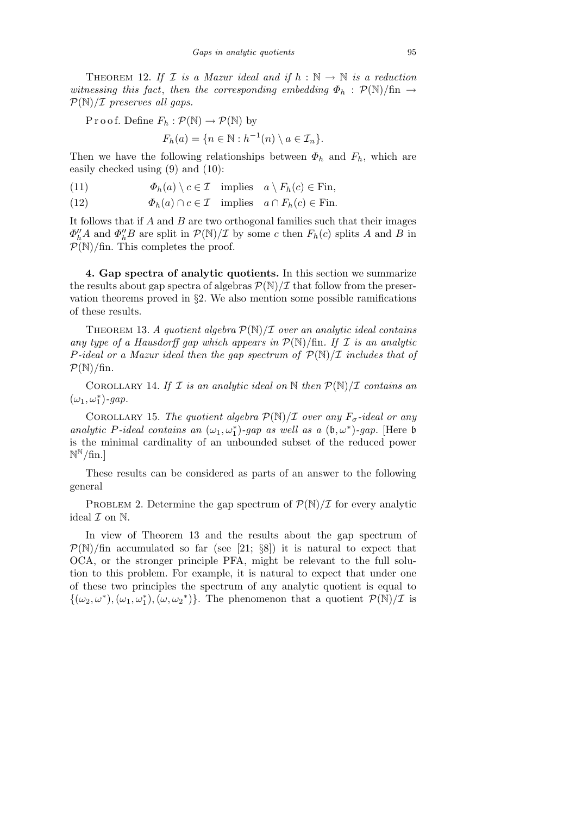THEOREM 12. If *I* is a Mazur ideal and if  $h : \mathbb{N} \to \mathbb{N}$  is a reduction *witnessing this fact, then the corresponding embedding*  $\Phi_h$  :  $P(\mathbb{N})/\text{fin}$  → *P*(N)*/I preserves all gaps.*

P r o o f. Define  $F_h : \mathcal{P}(\mathbb{N}) \to \mathcal{P}(\mathbb{N})$  by

 $F_h(a) = \{n \in \mathbb{N} : h^{-1}(n) \setminus a \in \mathcal{I}_n\}.$ 

Then we have the following relationships between  $\Phi_h$  and  $F_h$ , which are easily checked using (9) and (10):

(11)  $\Phi_h(a) \setminus c \in \mathcal{I}$  implies  $a \setminus F_h(c) \in \text{Fin}$ ,

(12)  $\Phi_h(a) \cap c \in \mathcal{I}$  implies  $a \cap F_h(c) \in \text{Fin}$ .

It follows that if *A* and *B* are two orthogonal families such that their images  $\Phi''_h A$  and  $\Phi''_h B$  are split in  $P(\mathbb{N})/I$  by some *c* then  $F_h(c)$  splits *A* and *B* in *P*(N)*/*fin. This completes the proof.

**4. Gap spectra of analytic quotients.** In this section we summarize the results about gap spectra of algebras  $P(N)/\mathcal{I}$  that follow from the preservation theorems proved in *§*2. We also mention some possible ramifications of these results.

THEOREM 13. *A quotient algebra*  $P(\mathbb{N})/I$  *over an analytic ideal contains any type of a Hausdorff gap which appears in*  $P(\mathbb{N})$ /fin. If  $\mathcal I$  *is an analytic P-ideal or a Mazur ideal then the gap spectrum of P*(N)*/I includes that of*  $P(N)/\text{fin}$ *.* 

COROLLARY 14. If  $I$  *is an analytic ideal on*  $\mathbb N$  *then*  $P(\mathbb N)/I$  *contains an*  $(\omega_1, \omega_1^*)$ -gap.

COROLLARY 15. *The quotient algebra*  $P(\mathbb{N})/I$  *over any*  $F_{\sigma}$ -ideal or any *analytic P-ideal contains an*  $(\omega_1, \omega_1^*)$ -*gap as well as a*  $(\mathfrak{b}, \omega^*)$ -*gap.* [Here  $\mathfrak{b}$ is the minimal cardinality of an unbounded subset of the reduced power N <sup>N</sup>*/*fin.]

These results can be considered as parts of an answer to the following general

PROBLEM 2. Determine the gap spectrum of  $\mathcal{P}(\mathbb{N})/\mathcal{I}$  for every analytic ideal *I* on N.

In view of Theorem 13 and the results about the gap spectrum of  $P(N)/\text{fin}$  accumulated so far (see [21; *§8*]) it is natural to expect that OCA, or the stronger principle PFA, might be relevant to the full solution to this problem. For example, it is natural to expect that under one of these two principles the spectrum of any analytic quotient is equal to  $\{(\omega_2, \omega^*), (\omega_1, \omega_1^*), (\omega, \omega_2^*)\}$ . The phenomenon that a quotient  $P(\mathbb{N})/\mathcal{I}$  is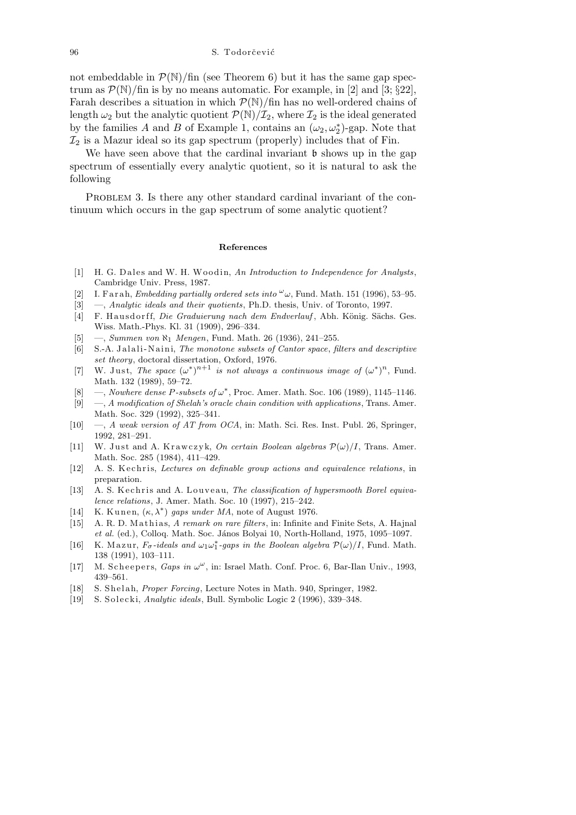not embeddable in  $\mathcal{P}(\mathbb{N})$ /fin (see Theorem 6) but it has the same gap spectrum as  $\mathcal{P}(\mathbb{N})$ /fin is by no means automatic. For example, in [2] and [3; *§*22], Farah describes a situation in which  $P(N)/\text{fin}$  has no well-ordered chains of length  $\omega_2$  but the analytic quotient  $\mathcal{P}(\mathbb{N})/\mathcal{I}_2$ , where  $\mathcal{I}_2$  is the ideal generated by the families *A* and *B* of Example 1, contains an  $(\omega_2, \omega_2^*)$ -gap. Note that  $\mathcal{I}_2$  is a Mazur ideal so its gap spectrum (properly) includes that of Fin.

We have seen above that the cardinal invariant  $\mathfrak b$  shows up in the gap spectrum of essentially every analytic quotient, so it is natural to ask the following

PROBLEM 3. Is there any other standard cardinal invariant of the continuum which occurs in the gap spectrum of some analytic quotient?

## **References**

- [1] H. G. Dales and W. H. Woodin, An Introduction to Independence for Analysts, Cambridge Univ. Press, 1987.
- [2] I. F a r a h, *Embedding partially ordered sets into*  $\omega_{\omega}$ , Fund. Math. 151 (1996), 53–95.
- [3] —, *Analytic ideals and their quotients*, Ph.D. thesis, Univ. of Toronto, 1997.
- [4] F. Hausdorff, *Die Graduierung nach dem Endverlauf*, Abh. König. Sächs. Ges. Wiss. Math.-Phys. Kl. 31 (1909), 296–334.
- [5] —, *Summen von ℵ*<sup>1</sup> *Mengen*, Fund. Math. 26 (1936), 241–255.
- [6] S.-A. J al ali -N ai ni, *The monotone subsets of Cantor space*, *filters and descriptive set theory*, doctoral dissertation, Oxford, 1976.
- [7] W. Just, *The space*  $(\omega^*)^{n+1}$  *is not always a continuous image of*  $(\omega^*)^n$ , Fund. Math. 132 (1989), 59–72.
- [8] —, *Nowhere dense P-subsets of ω ∗* , Proc. Amer. Math. Soc. 106 (1989), 1145–1146.
- [9] —, *A modification of Shelah's oracle chain condition with applications*, Trans. Amer. Math. Soc. 329 (1992), 325–341.
- [10] —, *A weak version of AT from OCA*, in: Math. Sci. Res. Inst. Publ. 26, Springer, 1992, 281–291.
- [11] W. Just and A. Krawczyk, *On certain Boolean algebras*  $\mathcal{P}(\omega)/I$ , Trans. Amer. Math. Soc. 285 (1984), 411–429.
- [12] A. S. Kechris, *Lectures on definable group actions and equivalence relations*, in preparation.
- [13] A. S. Kechris and A. Louveau, *The classification of hypersmooth Borel equivalence relations*, J. Amer. Math. Soc. 10 (1997), 215–242.
- [14] K. Kunen,  $(\kappa, \lambda^*)$  gaps under MA, note of August 1976.
- [15] A. R. D. Mathias, *A remark on rare filters*, in: Infinite and Finite Sets, A. Hajnal *et al.* (ed.), Colloq. Math. Soc. János Bolyai 10, North-Holland, 1975, 1095-1097.
- [16] K. Mazur,  $F_{\sigma}$ -ideals and  $\omega_1 \omega_1^*$ -gaps in the Boolean algebra  $\mathcal{P}(\omega)/I$ , Fund. Math. 138 (1991), 103–111.
- [17] M. Scheepers, *Gaps in*  $\omega^{\omega}$ , in: Israel Math. Conf. Proc. 6, Bar-Ilan Univ., 1993, 439–561.
- [18] S. Shelah, *Proper Forcing*, Lecture Notes in Math. 940, Springer, 1982.
- [19] S. Solecki, *Analytic ideals*, Bull. Symbolic Logic 2 (1996), 339–348.